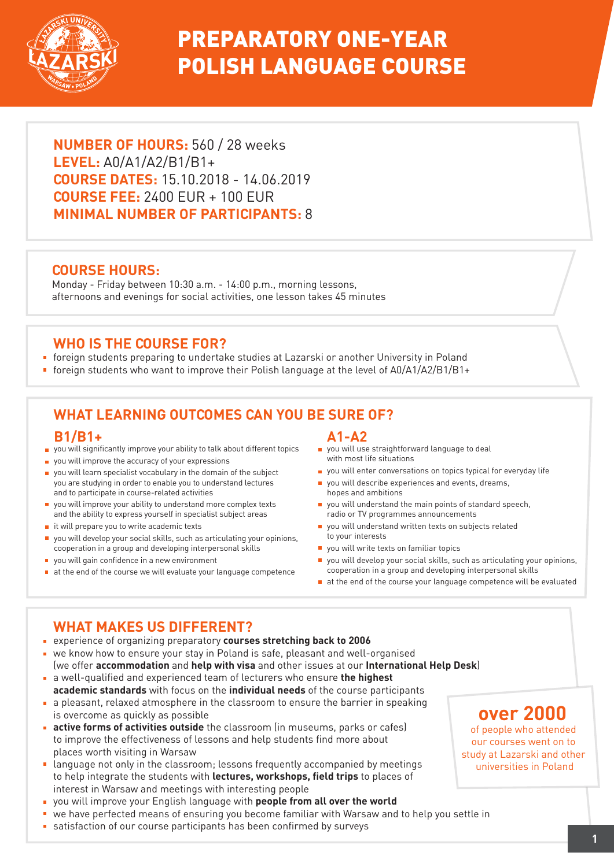

# PREPARATORY ONE-YEAR POLISH LANGUAGE COURSE

**NUMBER OF HOURS:** 560 / 28 weeks **LEVEL:** A0/A1/A2/B1/B1+ **COURSE DATES:** 15.10.2018 - 14.06.2019 **COURSE FEE:** 2400 EUR + 100 EUR **MINIMAL NUMBER OF PARTICIPANTS:** 8

### **COURSE HOURS:**

Monday - Friday between 10:30 a.m. - 14:00 p.m., morning lessons, afternoons and evenings for social activities, one lesson takes 45 minutes

### **WHO IS THE COURSE FOR?**

- foreign students preparing to undertake studies at Lazarski or another University in Poland
- foreign students who want to improve their Polish language at the level of A0/A1/A2/B1/B1+

# **WHAT LEARNING OUTCOMES CAN YOU BE SURE OF?**

#### **B1/B1+**

- you will significantly improve your ability to talk about different topics
- **p** you will improve the accuracy of your expressions
- you will learn specialist vocabulary in the domain of the subject you are studying in order to enable you to understand lectures and to participate in course-related activities
- vou will improve your ability to understand more complex texts and the ability to express yourself in specialist subject areas
- it will prepare you to write academic texts
- you will develop your social skills, such as articulating your opinions, cooperation in a group and developing interpersonal skills
- vou will gain confidence in a new environment
- $\blacksquare$  at the end of the course we will evaluate your language competence

#### **A1-A2**

- vou will use straightforward language to deal with most life situations
- vou will enter conversations on topics typical for everyday life
- vou will describe experiences and events, dreams, hopes and ambitions
- vou will understand the main points of standard speech, radio or TV programmes announcements
- you will understand written texts on subjects related to your interests
- vou will write texts on familiar topics
- you will develop your social skills, such as articulating your opinions, cooperation in a group and developing interpersonal skills
- at the end of the course your language competence will be evaluated

## **WHAT MAKES US DIFFERENT?**

- experience of organizing preparatory **courses stretching back to 2006**
- we know how to ensure your stay in Poland is safe, pleasant and well-organised (we offer **accommodation** and **help with visa** and other issues at our **International Help Desk**)
- a well-qualified and experienced team of lecturers who ensure **the highest academic standards** with focus on the **individual needs** of the course participants
- a pleasant, relaxed atmosphere in the classroom to ensure the barrier in speaking is overcome as quickly as possible
- **active forms of activities outside** the classroom (in museums, parks or cafes) to improve the effectiveness of lessons and help students find more about places worth visiting in Warsaw
- language not only in the classroom; lessons frequently accompanied by meetings to help integrate the students with **lectures, workshops, field trips** to places of interest in Warsaw and meetings with interesting people
- you will improve your English language with **people from all over the world**
- we have perfected means of ensuring you become familiar with Warsaw and to help you settle in
- satisfaction of our course participants has been confirmed by surveys

# **over 2000**

of people who attended our courses went on to study at Lazarski and other universities in Poland